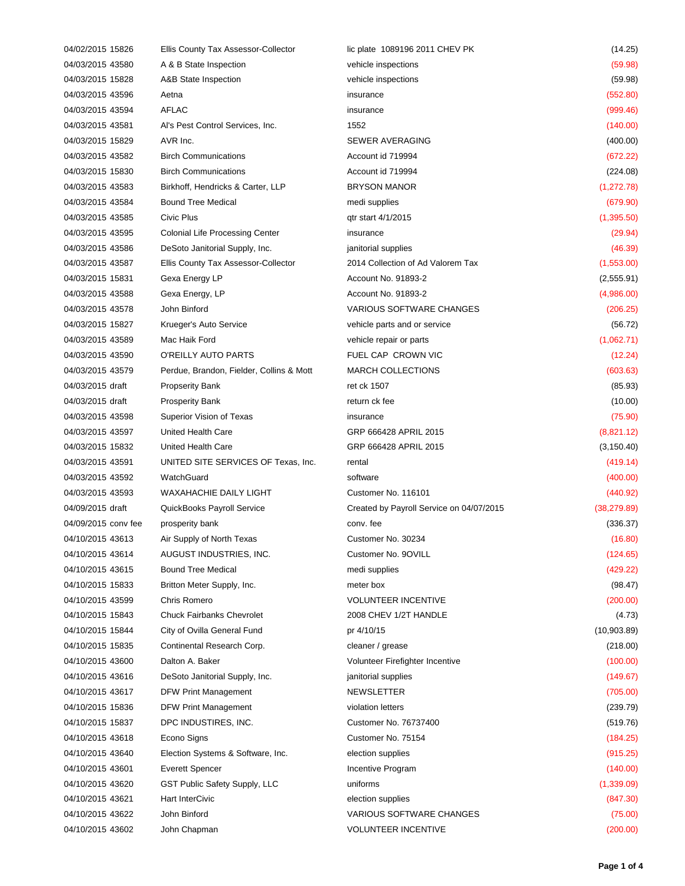| 04/02/2015 15826    | Ellis County Tax Assessor-Collector      | lic plate 1089196 2011 CHEV PK           | (14.25)      |
|---------------------|------------------------------------------|------------------------------------------|--------------|
| 04/03/2015 43580    | A & B State Inspection                   | vehicle inspections                      | (59.98)      |
| 04/03/2015 15828    | A&B State Inspection                     | vehicle inspections                      | (59.98)      |
| 04/03/2015 43596    | Aetna                                    | insurance                                | (552.80)     |
| 04/03/2015 43594    | <b>AFLAC</b>                             | insurance                                | (999.46)     |
| 04/03/2015 43581    | Al's Pest Control Services, Inc.         | 1552                                     | (140.00)     |
| 04/03/2015 15829    | AVR Inc.                                 | SEWER AVERAGING                          | (400.00)     |
| 04/03/2015 43582    | <b>Birch Communications</b>              | Account id 719994                        | (672.22)     |
| 04/03/2015 15830    | <b>Birch Communications</b>              | Account id 719994                        | (224.08)     |
| 04/03/2015 43583    | Birkhoff, Hendricks & Carter, LLP        | <b>BRYSON MANOR</b>                      | (1, 272.78)  |
| 04/03/2015 43584    | <b>Bound Tree Medical</b>                | medi supplies                            | (679.90)     |
| 04/03/2015 43585    | Civic Plus                               | qtr start 4/1/2015                       | (1,395.50)   |
| 04/03/2015 43595    | <b>Colonial Life Processing Center</b>   | insurance                                | (29.94)      |
| 04/03/2015 43586    | DeSoto Janitorial Supply, Inc.           | janitorial supplies                      | (46.39)      |
| 04/03/2015 43587    | Ellis County Tax Assessor-Collector      | 2014 Collection of Ad Valorem Tax        | (1,553.00)   |
| 04/03/2015 15831    | Gexa Energy LP                           | Account No. 91893-2                      | (2,555.91)   |
| 04/03/2015 43588    | Gexa Energy, LP                          | Account No. 91893-2                      | (4,986.00)   |
| 04/03/2015 43578    | John Binford                             | <b>VARIOUS SOFTWARE CHANGES</b>          | (206.25)     |
| 04/03/2015 15827    | Krueger's Auto Service                   | vehicle parts and or service             | (56.72)      |
| 04/03/2015 43589    | Mac Haik Ford                            | vehicle repair or parts                  | (1,062.71)   |
| 04/03/2015 43590    | O'REILLY AUTO PARTS                      | FUEL CAP CROWN VIC                       | (12.24)      |
| 04/03/2015 43579    | Perdue, Brandon, Fielder, Collins & Mott | <b>MARCH COLLECTIONS</b>                 | (603.63)     |
| 04/03/2015 draft    | <b>Propserity Bank</b>                   | ret ck 1507                              | (85.93)      |
| 04/03/2015 draft    | <b>Prosperity Bank</b>                   | return ck fee                            | (10.00)      |
| 04/03/2015 43598    | Superior Vision of Texas                 | insurance                                | (75.90)      |
| 04/03/2015 43597    | United Health Care                       | GRP 666428 APRIL 2015                    | (8,821.12)   |
| 04/03/2015 15832    | United Health Care                       | GRP 666428 APRIL 2015                    | (3, 150.40)  |
| 04/03/2015 43591    | UNITED SITE SERVICES OF Texas, Inc.      | rental                                   | (419.14)     |
| 04/03/2015 43592    | WatchGuard                               | software                                 | (400.00)     |
| 04/03/2015 43593    | <b>WAXAHACHIE DAILY LIGHT</b>            | Customer No. 116101                      | (440.92)     |
| 04/09/2015 draft    | QuickBooks Payroll Service               | Created by Payroll Service on 04/07/2015 | (38, 279.89) |
| 04/09/2015 conv fee | prosperity bank                          | conv. fee                                | (336.37)     |
| 04/10/2015 43613    | Air Supply of North Texas                | Customer No. 30234                       | (16.80)      |
| 04/10/2015 43614    | AUGUST INDUSTRIES, INC.                  | Customer No. 9OVILL                      | (124.65)     |
| 04/10/2015 43615    | <b>Bound Tree Medical</b>                | medi supplies                            | (429.22)     |
| 04/10/2015 15833    | Britton Meter Supply, Inc.               | meter box                                | (98.47)      |
| 04/10/2015 43599    | Chris Romero                             | <b>VOLUNTEER INCENTIVE</b>               | (200.00)     |
| 04/10/2015 15843    | <b>Chuck Fairbanks Chevrolet</b>         | 2008 CHEV 1/2T HANDLE                    | (4.73)       |
| 04/10/2015 15844    | City of Ovilla General Fund              | pr 4/10/15                               | (10,903.89)  |
| 04/10/2015 15835    | Continental Research Corp.               | cleaner / grease                         | (218.00)     |
| 04/10/2015 43600    | Dalton A. Baker                          | Volunteer Firefighter Incentive          | (100.00)     |
| 04/10/2015 43616    | DeSoto Janitorial Supply, Inc.           | janitorial supplies                      | (149.67)     |
| 04/10/2015 43617    | DFW Print Management                     | <b>NEWSLETTER</b>                        | (705.00)     |
| 04/10/2015 15836    | DFW Print Management                     | violation letters                        | (239.79)     |
| 04/10/2015 15837    | DPC INDUSTIRES, INC.                     | Customer No. 76737400                    | (519.76)     |
| 04/10/2015 43618    | Econo Signs                              | Customer No. 75154                       | (184.25)     |
| 04/10/2015 43640    | Election Systems & Software, Inc.        | election supplies                        | (915.25)     |
| 04/10/2015 43601    | <b>Everett Spencer</b>                   | Incentive Program                        | (140.00)     |
| 04/10/2015 43620    | GST Public Safety Supply, LLC            | uniforms                                 | (1,339.09)   |
| 04/10/2015 43621    | Hart InterCivic                          | election supplies                        | (847.30)     |
| 04/10/2015 43622    | John Binford                             | <b>VARIOUS SOFTWARE CHANGES</b>          | (75.00)      |
| 04/10/2015 43602    | John Chapman                             | VOLUNTEER INCENTIVE                      | (200.00)     |
|                     |                                          |                                          |              |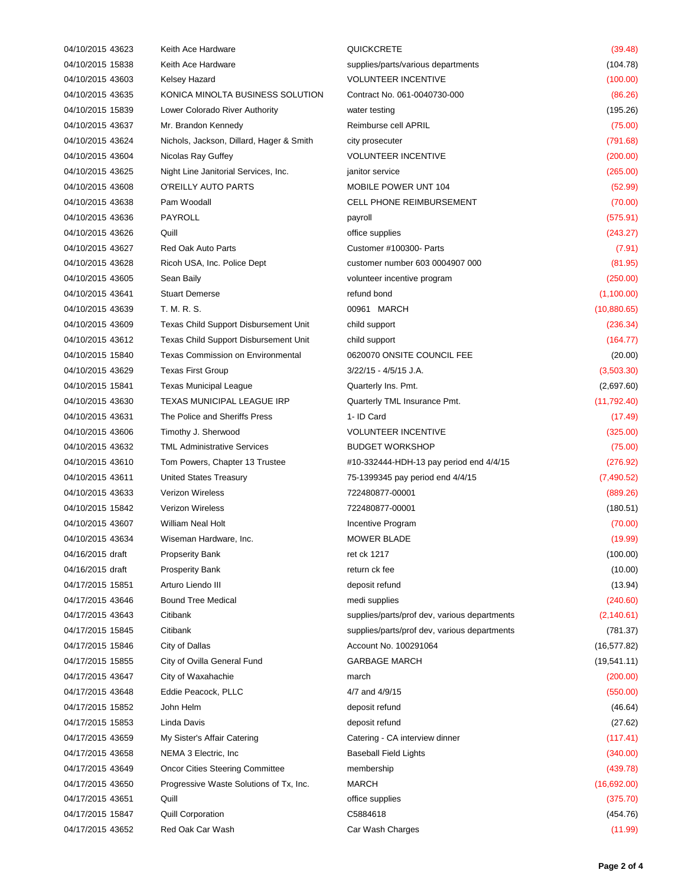| 04/10/2015 43623 | Keith Ace Hardware                           | QUICKCRETE                                   | (39.48)      |
|------------------|----------------------------------------------|----------------------------------------------|--------------|
| 04/10/2015 15838 | Keith Ace Hardware                           | supplies/parts/various departments           | (104.78)     |
| 04/10/2015 43603 | Kelsey Hazard                                | <b>VOLUNTEER INCENTIVE</b>                   | (100.00)     |
| 04/10/2015 43635 | KONICA MINOLTA BUSINESS SOLUTION             | Contract No. 061-0040730-000                 | (86.26)      |
| 04/10/2015 15839 | Lower Colorado River Authority               | water testing                                | (195.26)     |
| 04/10/2015 43637 | Mr. Brandon Kennedy                          | Reimburse cell APRIL                         | (75.00)      |
| 04/10/2015 43624 | Nichols, Jackson, Dillard, Hager & Smith     | city prosecuter                              | (791.68)     |
| 04/10/2015 43604 | Nicolas Ray Guffey                           | <b>VOLUNTEER INCENTIVE</b>                   | (200.00)     |
| 04/10/2015 43625 | Night Line Janitorial Services, Inc.         | janitor service                              | (265.00)     |
| 04/10/2015 43608 | O'REILLY AUTO PARTS                          | MOBILE POWER UNT 104                         | (52.99)      |
| 04/10/2015 43638 | Pam Woodall                                  | <b>CELL PHONE REIMBURSEMENT</b>              | (70.00)      |
| 04/10/2015 43636 | PAYROLL                                      | payroll                                      | (575.91)     |
| 04/10/2015 43626 | Quill                                        | office supplies                              | (243.27)     |
| 04/10/2015 43627 | <b>Red Oak Auto Parts</b>                    | Customer #100300- Parts                      | (7.91)       |
| 04/10/2015 43628 | Ricoh USA, Inc. Police Dept                  | customer number 603 0004907 000              | (81.95)      |
| 04/10/2015 43605 | Sean Baily                                   | volunteer incentive program                  | (250.00)     |
| 04/10/2015 43641 | <b>Stuart Demerse</b>                        | refund bond                                  | (1,100.00)   |
| 04/10/2015 43639 | T. M. R. S.                                  | 00961 MARCH                                  | (10,880.65)  |
| 04/10/2015 43609 | Texas Child Support Disbursement Unit        | child support                                | (236.34)     |
| 04/10/2015 43612 | <b>Texas Child Support Disbursement Unit</b> | child support                                | (164.77)     |
| 04/10/2015 15840 | <b>Texas Commission on Environmental</b>     | 0620070 ONSITE COUNCIL FEE                   | (20.00)      |
| 04/10/2015 43629 | <b>Texas First Group</b>                     | 3/22/15 - 4/5/15 J.A.                        | (3,503.30)   |
| 04/10/2015 15841 | Texas Municipal League                       | Quarterly Ins. Pmt.                          | (2,697.60)   |
| 04/10/2015 43630 | TEXAS MUNICIPAL LEAGUE IRP                   | Quarterly TML Insurance Pmt.                 | (11, 792.40) |
| 04/10/2015 43631 | The Police and Sheriffs Press                | 1- ID Card                                   | (17.49)      |
| 04/10/2015 43606 | Timothy J. Sherwood                          | <b>VOLUNTEER INCENTIVE</b>                   | (325.00)     |
| 04/10/2015 43632 | <b>TML Administrative Services</b>           | <b>BUDGET WORKSHOP</b>                       | (75.00)      |
| 04/10/2015 43610 | Tom Powers, Chapter 13 Trustee               | #10-332444-HDH-13 pay period end 4/4/15      | (276.92)     |
| 04/10/2015 43611 | <b>United States Treasury</b>                | 75-1399345 pay period end 4/4/15             | (7,490.52)   |
| 04/10/2015 43633 | <b>Verizon Wireless</b>                      | 722480877-00001                              | (889.26)     |
| 04/10/2015 15842 | <b>Verizon Wireless</b>                      | 722480877-00001                              | (180.51)     |
| 04/10/2015 43607 | <b>William Neal Holt</b>                     | Incentive Program                            | (70.00)      |
| 04/10/2015 43634 | Wiseman Hardware, Inc.                       | MOWER BLADE                                  | (19.99)      |
| 04/16/2015 draft | <b>Propserity Bank</b>                       | ret ck 1217                                  | (100.00)     |
| 04/16/2015 draft | <b>Prosperity Bank</b>                       | return ck fee                                | (10.00)      |
| 04/17/2015 15851 | Arturo Liendo III                            | deposit refund                               | (13.94)      |
| 04/17/2015 43646 | <b>Bound Tree Medical</b>                    | medi supplies                                | (240.60)     |
| 04/17/2015 43643 | Citibank                                     | supplies/parts/prof dev, various departments | (2, 140.61)  |
| 04/17/2015 15845 | Citibank                                     | supplies/parts/prof dev, various departments | (781.37)     |
| 04/17/2015 15846 | City of Dallas                               | Account No. 100291064                        | (16, 577.82) |
| 04/17/2015 15855 | City of Ovilla General Fund                  | <b>GARBAGE MARCH</b>                         | (19, 541.11) |
| 04/17/2015 43647 | City of Waxahachie                           | march                                        | (200.00)     |
| 04/17/2015 43648 | Eddie Peacock, PLLC                          | 4/7 and 4/9/15                               | (550.00)     |
| 04/17/2015 15852 | John Helm                                    | deposit refund                               | (46.64)      |
| 04/17/2015 15853 | Linda Davis                                  | deposit refund                               | (27.62)      |
| 04/17/2015 43659 | My Sister's Affair Catering                  | Catering - CA interview dinner               | (117.41)     |
| 04/17/2015 43658 | NEMA 3 Electric, Inc.                        | <b>Baseball Field Lights</b>                 | (340.00)     |
| 04/17/2015 43649 | <b>Oncor Cities Steering Committee</b>       | membership                                   | (439.78)     |
| 04/17/2015 43650 | Progressive Waste Solutions of Tx, Inc.      | <b>MARCH</b>                                 | (16,692.00)  |
| 04/17/2015 43651 | Quill                                        | office supplies                              | (375.70)     |
| 04/17/2015 15847 | <b>Quill Corporation</b>                     | C5884618                                     | (454.76)     |
| 04/17/2015 43652 | Red Oak Car Wash                             | Car Wash Charges                             | (11.99)      |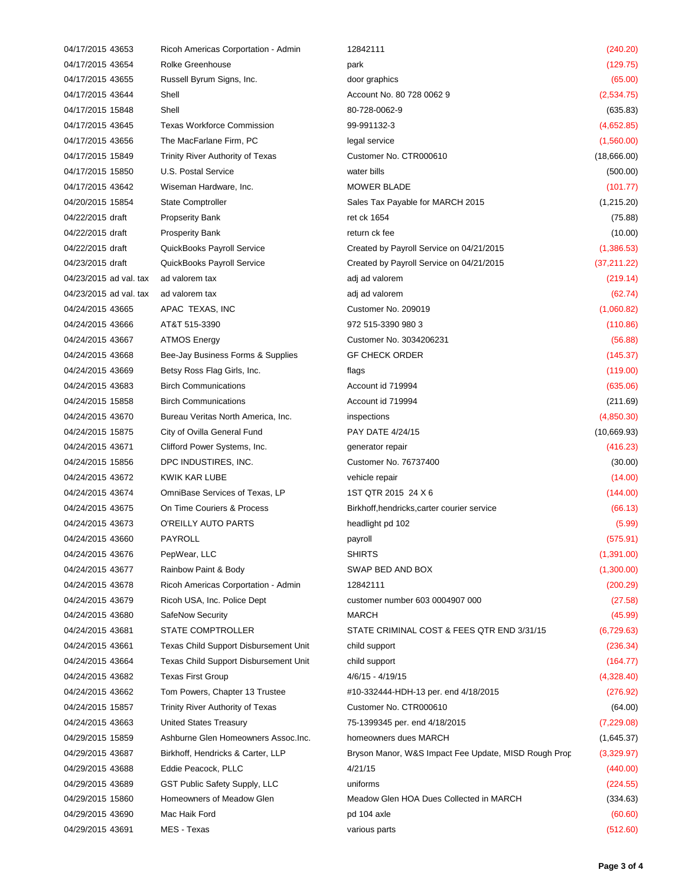| 04/17/2015 43653       | Ricoh Americas Corportation - Admin          | 12842111                                             | (240.20)     |
|------------------------|----------------------------------------------|------------------------------------------------------|--------------|
| 04/17/2015 43654       | Rolke Greenhouse                             | park                                                 | (129.75)     |
| 04/17/2015 43655       | Russell Byrum Signs, Inc.                    | door graphics                                        | (65.00)      |
| 04/17/2015 43644       | Shell                                        | Account No. 80 728 0062 9                            | (2,534.75)   |
| 04/17/2015 15848       | Shell                                        | 80-728-0062-9                                        | (635.83)     |
| 04/17/2015 43645       | <b>Texas Workforce Commission</b>            | 99-991132-3                                          | (4,652.85)   |
| 04/17/2015 43656       | The MacFarlane Firm, PC                      | legal service                                        | (1,560.00)   |
| 04/17/2015 15849       | Trinity River Authority of Texas             | Customer No. CTR000610                               | (18,666.00)  |
| 04/17/2015 15850       | U.S. Postal Service                          | water bills                                          | (500.00)     |
| 04/17/2015 43642       | Wiseman Hardware, Inc.                       | <b>MOWER BLADE</b>                                   | (101.77)     |
| 04/20/2015 15854       | <b>State Comptroller</b>                     | Sales Tax Payable for MARCH 2015                     | (1,215.20)   |
| 04/22/2015 draft       | <b>Propserity Bank</b>                       | ret ck 1654                                          | (75.88)      |
| 04/22/2015 draft       | <b>Prosperity Bank</b>                       | return ck fee                                        | (10.00)      |
| 04/22/2015 draft       | QuickBooks Payroll Service                   | Created by Payroll Service on 04/21/2015             | (1,386.53)   |
| 04/23/2015 draft       | QuickBooks Payroll Service                   | Created by Payroll Service on 04/21/2015             | (37, 211.22) |
| 04/23/2015 ad val. tax | ad valorem tax                               | adj ad valorem                                       | (219.14)     |
| 04/23/2015 ad val. tax | ad valorem tax                               | adj ad valorem                                       | (62.74)      |
| 04/24/2015 43665       | APAC TEXAS, INC                              | Customer No. 209019                                  | (1,060.82)   |
| 04/24/2015 43666       | AT&T 515-3390                                | 972 515-3390 980 3                                   | (110.86)     |
| 04/24/2015 43667       | <b>ATMOS Energy</b>                          | Customer No. 3034206231                              | (56.88)      |
| 04/24/2015 43668       | Bee-Jay Business Forms & Supplies            | <b>GF CHECK ORDER</b>                                | (145.37)     |
| 04/24/2015 43669       | Betsy Ross Flag Girls, Inc.                  | flags                                                | (119.00)     |
| 04/24/2015 43683       | <b>Birch Communications</b>                  | Account id 719994                                    | (635.06)     |
| 04/24/2015 15858       | <b>Birch Communications</b>                  | Account id 719994                                    | (211.69)     |
| 04/24/2015 43670       | Bureau Veritas North America, Inc.           | inspections                                          | (4,850.30)   |
| 04/24/2015 15875       | City of Ovilla General Fund                  | PAY DATE 4/24/15                                     | (10,669.93)  |
| 04/24/2015 43671       | Clifford Power Systems, Inc.                 | generator repair                                     | (416.23)     |
| 04/24/2015 15856       | DPC INDUSTIRES, INC.                         | Customer No. 76737400                                | (30.00)      |
| 04/24/2015 43672       | KWIK KAR LUBE                                | vehicle repair                                       | (14.00)      |
| 04/24/2015 43674       | OmniBase Services of Texas, LP               | 1ST QTR 2015 24 X 6                                  | (144.00)     |
| 04/24/2015 43675       | On Time Couriers & Process                   | Birkhoff, hendricks, carter courier service          | (66.13)      |
| 04/24/2015 43673       | O'REILLY AUTO PARTS                          | headlight pd 102                                     | (5.99)       |
| 04/24/2015 43660       | PAYROLL                                      | payroll                                              | (575.91)     |
| 04/24/2015 43676       | PepWear, LLC                                 | SHIRTS                                               | (1,391.00)   |
| 04/24/2015 43677       | Rainbow Paint & Body                         | SWAP BED AND BOX                                     | (1,300.00)   |
| 04/24/2015 43678       | Ricoh Americas Corportation - Admin          | 12842111                                             | (200.29)     |
| 04/24/2015 43679       | Ricoh USA, Inc. Police Dept                  | customer number 603 0004907 000                      | (27.58)      |
| 04/24/2015 43680       | SafeNow Security                             | MARCH                                                | (45.99)      |
| 04/24/2015 43681       | STATE COMPTROLLER                            | STATE CRIMINAL COST & FEES QTR END 3/31/15           | (6, 729.63)  |
| 04/24/2015 43661       | Texas Child Support Disbursement Unit        | child support                                        | (236.34)     |
| 04/24/2015 43664       | <b>Texas Child Support Disbursement Unit</b> | child support                                        | (164.77)     |
| 04/24/2015 43682       | <b>Texas First Group</b>                     | 4/6/15 - 4/19/15                                     | (4,328.40)   |
| 04/24/2015 43662       | Tom Powers, Chapter 13 Trustee               | #10-332444-HDH-13 per. end 4/18/2015                 | (276.92)     |
| 04/24/2015 15857       | Trinity River Authority of Texas             | Customer No. CTR000610                               | (64.00)      |
| 04/24/2015 43663       | <b>United States Treasury</b>                | 75-1399345 per. end 4/18/2015                        | (7,229.08)   |
| 04/29/2015 15859       | Ashburne Glen Homeowners Assoc.Inc.          | homeowners dues MARCH                                | (1,645.37)   |
| 04/29/2015 43687       | Birkhoff, Hendricks & Carter, LLP            | Bryson Manor, W&S Impact Fee Update, MISD Rough Prop | (3,329.97)   |
| 04/29/2015 43688       | Eddie Peacock, PLLC                          | 4/21/15                                              | (440.00)     |
| 04/29/2015 43689       | GST Public Safety Supply, LLC                | uniforms                                             | (224.55)     |
| 04/29/2015 15860       | Homeowners of Meadow Glen                    | Meadow Glen HOA Dues Collected in MARCH              | (334.63)     |
| 04/29/2015 43690       | Mac Haik Ford                                | pd 104 axle                                          | (60.60)      |
| 04/29/2015 43691       | MES - Texas                                  | various parts                                        | (512.60)     |